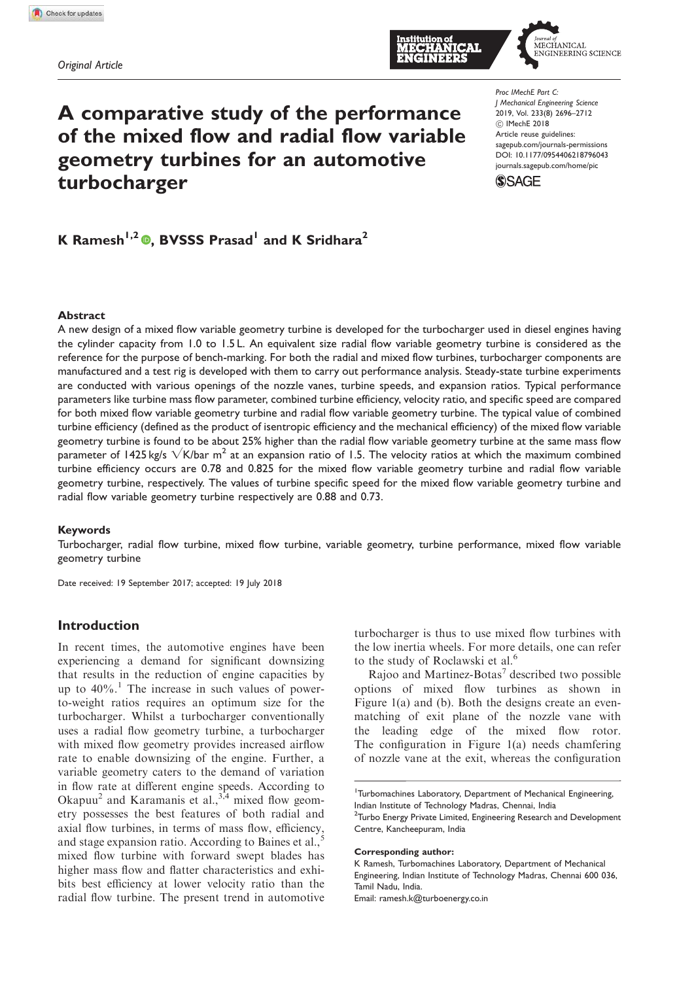



# A comparative study of the performance of the mixed flow and radial flow variable geometry turbines for an automotive turbocharger

*Proc IMechE Part C: J Mechanical Engineering Science* 2019, Vol. 233(8) 2696–2712 ! IMechE 2018 Article reuse guidelines: sagepub.com/journals-permissions DOI: 10.1177/0954406218796043 journals.sagepub.com/home/pic



## K Ramesh<sup>1,2</sup> (D, BVSSS Prasad<sup>1</sup> and K Sridhara<sup>2</sup>

#### Abstract

A new design of a mixed flow variable geometry turbine is developed for the turbocharger used in diesel engines having the cylinder capacity from 1.0 to 1.5 L. An equivalent size radial flow variable geometry turbine is considered as the reference for the purpose of bench-marking. For both the radial and mixed flow turbines, turbocharger components are manufactured and a test rig is developed with them to carry out performance analysis. Steady-state turbine experiments are conducted with various openings of the nozzle vanes, turbine speeds, and expansion ratios. Typical performance parameters like turbine mass flow parameter, combined turbine efficiency, velocity ratio, and specific speed are compared for both mixed flow variable geometry turbine and radial flow variable geometry turbine. The typical value of combined turbine efficiency (defined as the product of isentropic efficiency and the mechanical efficiency) of the mixed flow variable geometry turbine is found to be about 25% higher than the radial flow variable geometry turbine at the same mass flow parameter of 1425 kg/s  $\sqrt{K/b}$ ar m<sup>2</sup> at an expansion ratio of 1.5. The velocity ratios at which the maximum combined turbine efficiency occurs are 0.78 and 0.825 for the mixed flow variable geometry turbine and radial flow variable geometry turbine, respectively. The values of turbine specific speed for the mixed flow variable geometry turbine and radial flow variable geometry turbine respectively are 0.88 and 0.73.

#### Keywords

Turbocharger, radial flow turbine, mixed flow turbine, variable geometry, turbine performance, mixed flow variable geometry turbine

Date received: 19 September 2017; accepted: 19 July 2018

### Introduction

In recent times, the automotive engines have been experiencing a demand for significant downsizing that results in the reduction of engine capacities by up to  $40\%$ .<sup>1</sup> The increase in such values of powerto-weight ratios requires an optimum size for the turbocharger. Whilst a turbocharger conventionally uses a radial flow geometry turbine, a turbocharger with mixed flow geometry provides increased airflow rate to enable downsizing of the engine. Further, a variable geometry caters to the demand of variation in flow rate at different engine speeds. According to Okapuu<sup>2</sup> and Karamanis et al.,  $3,4$  mixed flow geometry possesses the best features of both radial and axial flow turbines, in terms of mass flow, efficiency, and stage expansion ratio. According to Baines et al.,<sup>5</sup> mixed flow turbine with forward swept blades has higher mass flow and flatter characteristics and exhibits best efficiency at lower velocity ratio than the radial flow turbine. The present trend in automotive turbocharger is thus to use mixed flow turbines with the low inertia wheels. For more details, one can refer to the study of Roclawski et al.<sup>6</sup>

Rajoo and Martinez-Botas<sup>7</sup> described two possible options of mixed flow turbines as shown in Figure 1(a) and (b). Both the designs create an evenmatching of exit plane of the nozzle vane with the leading edge of the mixed flow rotor. The configuration in Figure 1(a) needs chamfering of nozzle vane at the exit, whereas the configuration

#### Corresponding author:

K Ramesh, Turbomachines Laboratory, Department of Mechanical Engineering, Indian Institute of Technology Madras, Chennai 600 036, Tamil Nadu, India.

Email: ramesh.k@turboenergy.co.in

<sup>&</sup>lt;sup>1</sup>Turbomachines Laboratory, Department of Mechanical Engineering, Indian Institute of Technology Madras, Chennai, India

<sup>&</sup>lt;sup>2</sup>Turbo Energy Private Limited, Engineering Research and Development Centre, Kancheepuram, India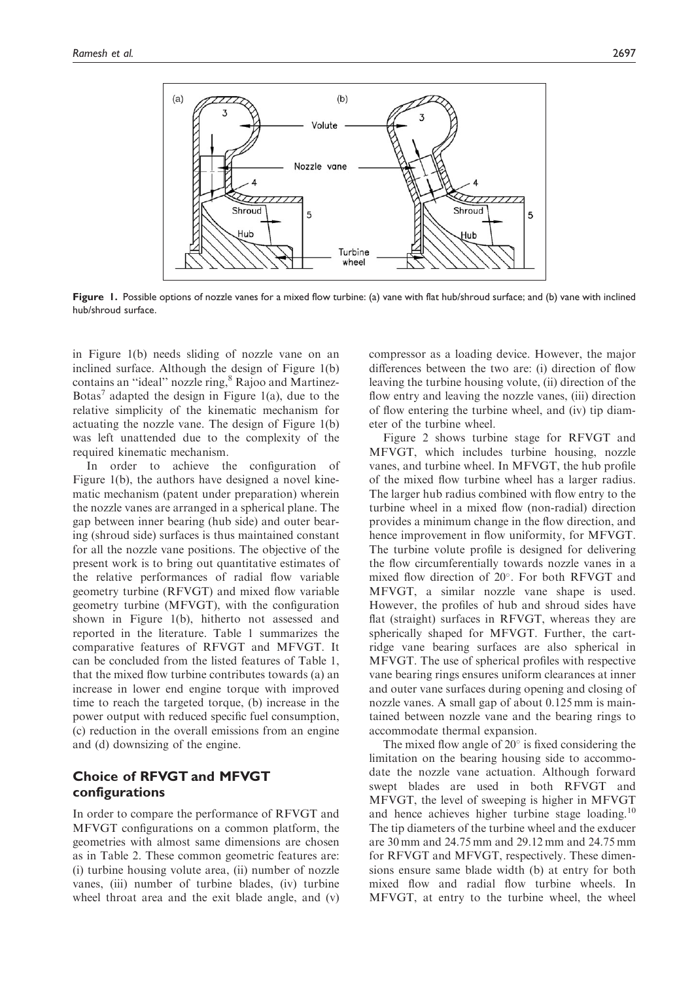

Figure 1. Possible options of nozzle vanes for a mixed flow turbine: (a) vane with flat hub/shroud surface; and (b) vane with inclined hub/shroud surface.

in Figure 1(b) needs sliding of nozzle vane on an inclined surface. Although the design of Figure 1(b) contains an "ideal" nozzle ring, <sup>8</sup> Rajoo and Martinez-Botas<sup>7</sup> adapted the design in Figure 1(a), due to the relative simplicity of the kinematic mechanism for actuating the nozzle vane. The design of Figure 1(b) was left unattended due to the complexity of the required kinematic mechanism.

In order to achieve the configuration of Figure 1(b), the authors have designed a novel kinematic mechanism (patent under preparation) wherein the nozzle vanes are arranged in a spherical plane. The gap between inner bearing (hub side) and outer bearing (shroud side) surfaces is thus maintained constant for all the nozzle vane positions. The objective of the present work is to bring out quantitative estimates of the relative performances of radial flow variable geometry turbine (RFVGT) and mixed flow variable geometry turbine (MFVGT), with the configuration shown in Figure 1(b), hitherto not assessed and reported in the literature. Table 1 summarizes the comparative features of RFVGT and MFVGT. It can be concluded from the listed features of Table 1, that the mixed flow turbine contributes towards (a) an increase in lower end engine torque with improved time to reach the targeted torque, (b) increase in the power output with reduced specific fuel consumption, (c) reduction in the overall emissions from an engine and (d) downsizing of the engine.

## Choice of RFVGT and MFVGT configurations

In order to compare the performance of RFVGT and MFVGT configurations on a common platform, the geometries with almost same dimensions are chosen as in Table 2. These common geometric features are: (i) turbine housing volute area, (ii) number of nozzle vanes, (iii) number of turbine blades, (iv) turbine wheel throat area and the exit blade angle, and (v) compressor as a loading device. However, the major differences between the two are: (i) direction of flow leaving the turbine housing volute, (ii) direction of the flow entry and leaving the nozzle vanes, (iii) direction of flow entering the turbine wheel, and (iv) tip diameter of the turbine wheel.

Figure 2 shows turbine stage for RFVGT and MFVGT, which includes turbine housing, nozzle vanes, and turbine wheel. In MFVGT, the hub profile of the mixed flow turbine wheel has a larger radius. The larger hub radius combined with flow entry to the turbine wheel in a mixed flow (non-radial) direction provides a minimum change in the flow direction, and hence improvement in flow uniformity, for MFVGT. The turbine volute profile is designed for delivering the flow circumferentially towards nozzle vanes in a mixed flow direction of  $20^{\circ}$ . For both RFVGT and MFVGT, a similar nozzle vane shape is used. However, the profiles of hub and shroud sides have flat (straight) surfaces in RFVGT, whereas they are spherically shaped for MFVGT. Further, the cartridge vane bearing surfaces are also spherical in MFVGT. The use of spherical profiles with respective vane bearing rings ensures uniform clearances at inner and outer vane surfaces during opening and closing of nozzle vanes. A small gap of about 0.125 mm is maintained between nozzle vane and the bearing rings to accommodate thermal expansion.

The mixed flow angle of  $20^{\circ}$  is fixed considering the limitation on the bearing housing side to accommodate the nozzle vane actuation. Although forward swept blades are used in both RFVGT and MFVGT, the level of sweeping is higher in MFVGT and hence achieves higher turbine stage loading.<sup>10</sup> The tip diameters of the turbine wheel and the exducer are 30 mm and 24.75 mm and 29.12 mm and 24.75 mm for RFVGT and MFVGT, respectively. These dimensions ensure same blade width (b) at entry for both mixed flow and radial flow turbine wheels. In MFVGT, at entry to the turbine wheel, the wheel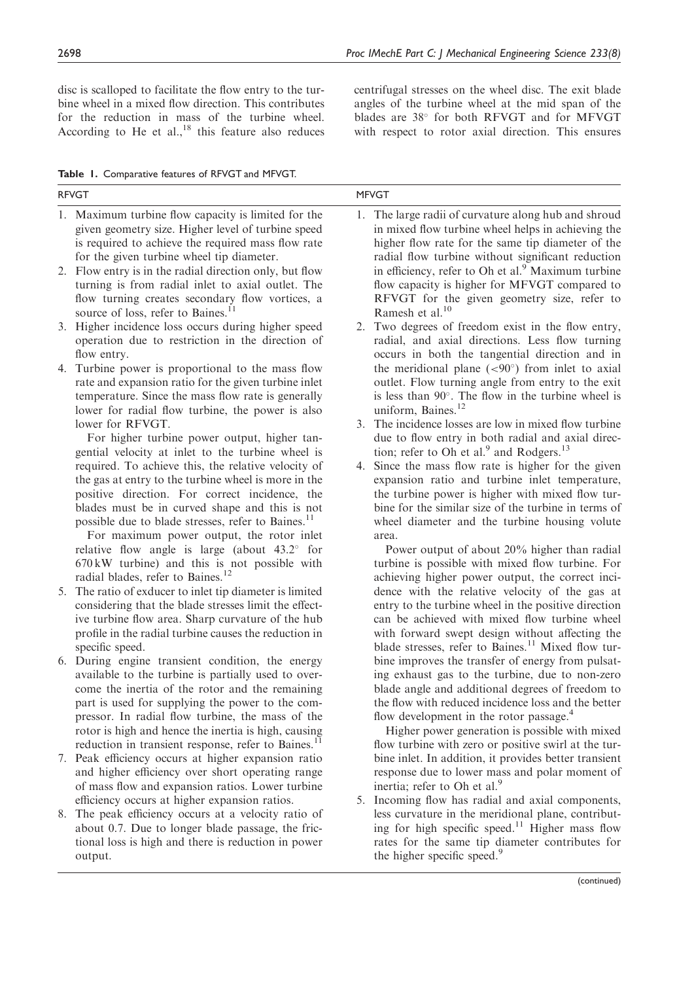disc is scalloped to facilitate the flow entry to the turbine wheel in a mixed flow direction. This contributes for the reduction in mass of the turbine wheel. According to He et al., $^{18}$  this feature also reduces

Table 1. Comparative features of RFVGT and MFVGT.

RFVGT MFVGT 1. Maximum turbine flow capacity is limited for the given geometry size. Higher level of turbine speed is required to achieve the required mass flow rate for the given turbine wheel tip diameter. 2. Flow entry is in the radial direction only, but flow turning is from radial inlet to axial outlet. The flow turning creates secondary flow vortices, a source of loss, refer to Baines.<sup>11</sup> 3. Higher incidence loss occurs during higher speed operation due to restriction in the direction of flow entry. 4. Turbine power is proportional to the mass flow rate and expansion ratio for the given turbine inlet temperature. Since the mass flow rate is generally lower for radial flow turbine, the power is also lower for RFVGT. For higher turbine power output, higher tangential velocity at inlet to the turbine wheel is required. To achieve this, the relative velocity of the gas at entry to the turbine wheel is more in the positive direction. For correct incidence, the blades must be in curved shape and this is not possible due to blade stresses, refer to Baines.<sup>11</sup> For maximum power output, the rotor inlet relative flow angle is large (about  $43.2^{\circ}$  for 670 kW turbine) and this is not possible with radial blades, refer to Baines.<sup>12</sup> 5. The ratio of exducer to inlet tip diameter is limited considering that the blade stresses limit the effective turbine flow area. Sharp curvature of the hub profile in the radial turbine causes the reduction in specific speed. 6. During engine transient condition, the energy available to the turbine is partially used to overcome the inertia of the rotor and the remaining part is used for supplying the power to the compressor. In radial flow turbine, the mass of the rotor is high and hence the inertia is high, causing reduction in transient response, refer to Baines.<sup>11</sup> 7. Peak efficiency occurs at higher expansion ratio and higher efficiency over short operating range of mass flow and expansion ratios. Lower turbine efficiency occurs at higher expansion ratios. 8. The peak efficiency occurs at a velocity ratio of about 0.7. Due to longer blade passage, the frictional loss is high and there is reduction in power output. 1. The large radii of curvature along hub and shroud in mixed flow turbine wheel helps in achieving the higher flow rate for the same tip diameter of the radial flow turbine without significant reduction in efficiency, refer to Oh et al.<sup>9</sup> Maximum turbine flow capacity is higher for MFVGT compared to RFVGT for the given geometry size, refer to Ramesh et al.<sup>10</sup> 2. Two degrees of freedom exist in the flow entry, radial, and axial directions. Less flow turning occurs in both the tangential direction and in the meridional plane  $(< 90°)$  from inlet to axial outlet. Flow turning angle from entry to the exit is less than  $90^\circ$ . The flow in the turbine wheel is uniform, Baines.<sup>12</sup> 3. The incidence losses are low in mixed flow turbine due to flow entry in both radial and axial direction; refer to Oh et al.<sup>9</sup> and Rodgers.<sup>13</sup> 4. Since the mass flow rate is higher for the given expansion ratio and turbine inlet temperature, the turbine power is higher with mixed flow turbine for the similar size of the turbine in terms of wheel diameter and the turbine housing volute area. Power output of about 20% higher than radial turbine is possible with mixed flow turbine. For achieving higher power output, the correct incidence with the relative velocity of the gas at entry to the turbine wheel in the positive direction can be achieved with mixed flow turbine wheel with forward swept design without affecting the blade stresses, refer to Baines.<sup>11</sup> Mixed flow turbine improves the transfer of energy from pulsating exhaust gas to the turbine, due to non-zero blade angle and additional degrees of freedom to the flow with reduced incidence loss and the better flow development in the rotor passage.<sup>4</sup> Higher power generation is possible with mixed flow turbine with zero or positive swirl at the turbine inlet. In addition, it provides better transient response due to lower mass and polar moment of inertia; refer to Oh et al. $9$ 5. Incoming flow has radial and axial components, less curvature in the meridional plane, contributing for high specific speed.<sup>11</sup> Higher mass flow rates for the same tip diameter contributes for the higher specific speed.<sup>9</sup>

(continued)

centrifugal stresses on the wheel disc. The exit blade angles of the turbine wheel at the mid span of the blades are  $38^{\circ}$  for both RFVGT and for MFVGT with respect to rotor axial direction. This ensures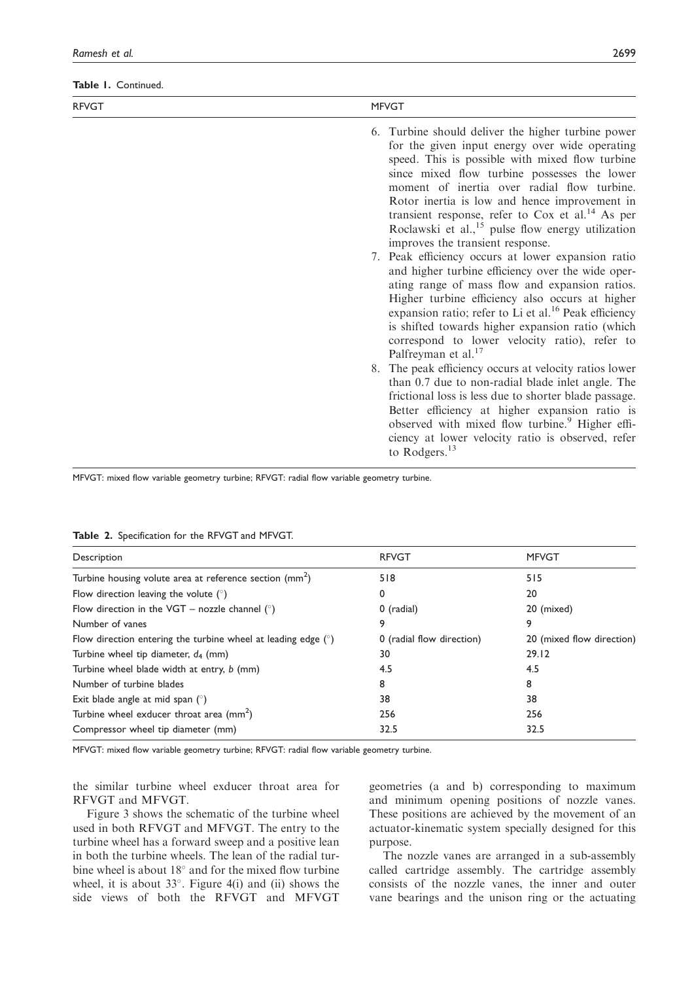Table 1. Continued.

| <b>RFVGT</b> | <b>MFVGT</b>                                                                                                                                                                                                                                                                                                                                                                                                                                                                                                                                                                                                                                                                                                                                                                                                                                                                                                                                                                                                                                                                                                                                                                                                                                                               |
|--------------|----------------------------------------------------------------------------------------------------------------------------------------------------------------------------------------------------------------------------------------------------------------------------------------------------------------------------------------------------------------------------------------------------------------------------------------------------------------------------------------------------------------------------------------------------------------------------------------------------------------------------------------------------------------------------------------------------------------------------------------------------------------------------------------------------------------------------------------------------------------------------------------------------------------------------------------------------------------------------------------------------------------------------------------------------------------------------------------------------------------------------------------------------------------------------------------------------------------------------------------------------------------------------|
|              | 6. Turbine should deliver the higher turbine power<br>for the given input energy over wide operating<br>speed. This is possible with mixed flow turbine<br>since mixed flow turbine possesses the lower<br>moment of inertia over radial flow turbine.<br>Rotor inertia is low and hence improvement in<br>transient response, refer to $Cox$ et al. <sup>14</sup> As per<br>Roclawski et al., $^{15}$ pulse flow energy utilization<br>improves the transient response.<br>7. Peak efficiency occurs at lower expansion ratio<br>and higher turbine efficiency over the wide oper-<br>ating range of mass flow and expansion ratios.<br>Higher turbine efficiency also occurs at higher<br>expansion ratio; refer to Li et al. <sup>16</sup> Peak efficiency<br>is shifted towards higher expansion ratio (which<br>correspond to lower velocity ratio), refer to<br>Palfreyman et al. <sup>17</sup><br>8. The peak efficiency occurs at velocity ratios lower<br>than 0.7 due to non-radial blade inlet angle. The<br>frictional loss is less due to shorter blade passage.<br>Better efficiency at higher expansion ratio is<br>observed with mixed flow turbine. <sup>9</sup> Higher effi-<br>ciency at lower velocity ratio is observed, refer<br>to Rodgers. $^{13}$ |
|              |                                                                                                                                                                                                                                                                                                                                                                                                                                                                                                                                                                                                                                                                                                                                                                                                                                                                                                                                                                                                                                                                                                                                                                                                                                                                            |

MFVGT: mixed flow variable geometry turbine; RFVGT: radial flow variable geometry turbine.

|  |  | Table 2. Specification for the RFVGT and MFVGT. |  |  |  |  |  |
|--|--|-------------------------------------------------|--|--|--|--|--|
|--|--|-------------------------------------------------|--|--|--|--|--|

| Description                                                     | <b>RFVGT</b>              | <b>MFVGT</b>              |
|-----------------------------------------------------------------|---------------------------|---------------------------|
| Turbine housing volute area at reference section $\text{(mm)}$  | 518                       | 515                       |
| Flow direction leaving the volute $(°)$                         | 0                         | 20                        |
| Flow direction in the VGT – nozzle channel $(°)$                | 0 (radial)                | 20 (mixed)                |
| Number of vanes                                                 | 9                         | 9                         |
| Flow direction entering the turbine wheel at leading edge $(°)$ | 0 (radial flow direction) | 20 (mixed flow direction) |
| Turbine wheel tip diameter, $d_4$ (mm)                          | 30                        | 29.12                     |
| Turbine wheel blade width at entry, b (mm)                      | 4.5                       | 4.5                       |
| Number of turbine blades                                        | 8                         | 8                         |
| Exit blade angle at mid span $(°)$                              | 38                        | 38                        |
| Turbine wheel exducer throat area $\text{(mm}^2)$               | 256                       | 256                       |
| Compressor wheel tip diameter (mm)                              | 32.5                      | 32.5                      |

MFVGT: mixed flow variable geometry turbine; RFVGT: radial flow variable geometry turbine.

the similar turbine wheel exducer throat area for RFVGT and MFVGT.

Figure 3 shows the schematic of the turbine wheel used in both RFVGT and MFVGT. The entry to the turbine wheel has a forward sweep and a positive lean in both the turbine wheels. The lean of the radial turbine wheel is about  $18^\circ$  and for the mixed flow turbine wheel, it is about  $33^\circ$ . Figure 4(i) and (ii) shows the side views of both the RFVGT and MFVGT

geometries (a and b) corresponding to maximum and minimum opening positions of nozzle vanes. These positions are achieved by the movement of an actuator-kinematic system specially designed for this purpose.

The nozzle vanes are arranged in a sub-assembly called cartridge assembly. The cartridge assembly consists of the nozzle vanes, the inner and outer vane bearings and the unison ring or the actuating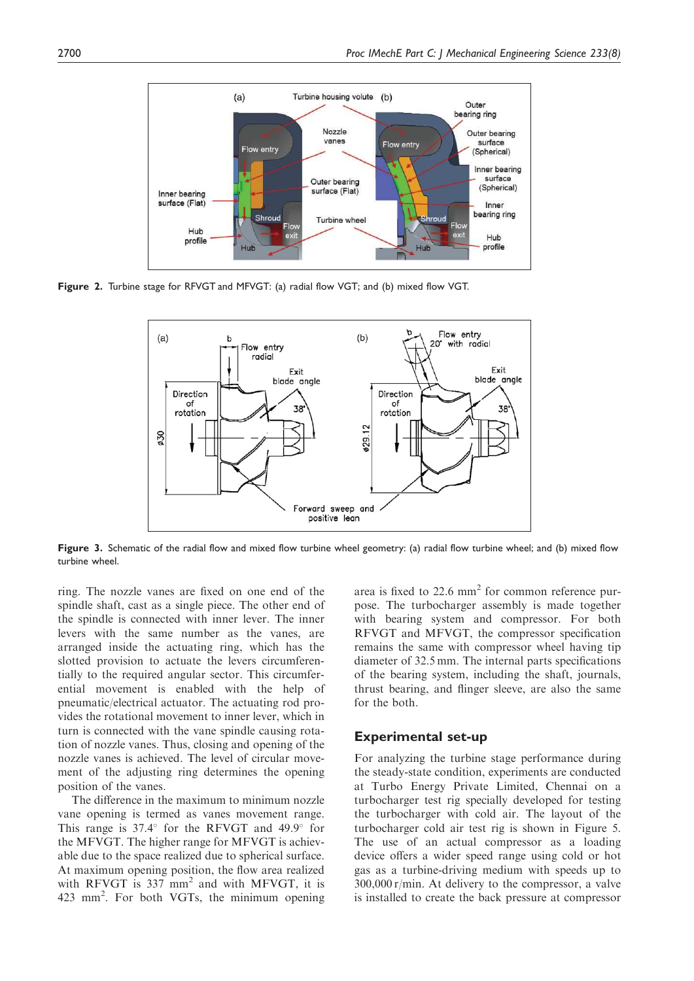

Figure 2. Turbine stage for RFVGT and MFVGT: (a) radial flow VGT; and (b) mixed flow VGT.



Figure 3. Schematic of the radial flow and mixed flow turbine wheel geometry: (a) radial flow turbine wheel; and (b) mixed flow turbine wheel.

ring. The nozzle vanes are fixed on one end of the spindle shaft, cast as a single piece. The other end of the spindle is connected with inner lever. The inner levers with the same number as the vanes, are arranged inside the actuating ring, which has the slotted provision to actuate the levers circumferentially to the required angular sector. This circumferential movement is enabled with the help of pneumatic/electrical actuator. The actuating rod provides the rotational movement to inner lever, which in turn is connected with the vane spindle causing rotation of nozzle vanes. Thus, closing and opening of the nozzle vanes is achieved. The level of circular movement of the adjusting ring determines the opening position of the vanes.

The difference in the maximum to minimum nozzle vane opening is termed as vanes movement range. This range is  $37.4^{\circ}$  for the RFVGT and  $49.9^{\circ}$  for the MFVGT. The higher range for MFVGT is achievable due to the space realized due to spherical surface. At maximum opening position, the flow area realized with RFVGT is  $337 \text{ mm}^2$  and with MFVGT, it is 423 mm<sup>2</sup> . For both VGTs, the minimum opening

area is fixed to  $22.6 \text{ mm}^2$  for common reference purpose. The turbocharger assembly is made together with bearing system and compressor. For both RFVGT and MFVGT, the compressor specification remains the same with compressor wheel having tip diameter of 32.5 mm. The internal parts specifications of the bearing system, including the shaft, journals, thrust bearing, and flinger sleeve, are also the same for the both.

#### Experimental set-up

For analyzing the turbine stage performance during the steady-state condition, experiments are conducted at Turbo Energy Private Limited, Chennai on a turbocharger test rig specially developed for testing the turbocharger with cold air. The layout of the turbocharger cold air test rig is shown in Figure 5. The use of an actual compressor as a loading device offers a wider speed range using cold or hot gas as a turbine-driving medium with speeds up to 300,000 r/min. At delivery to the compressor, a valve is installed to create the back pressure at compressor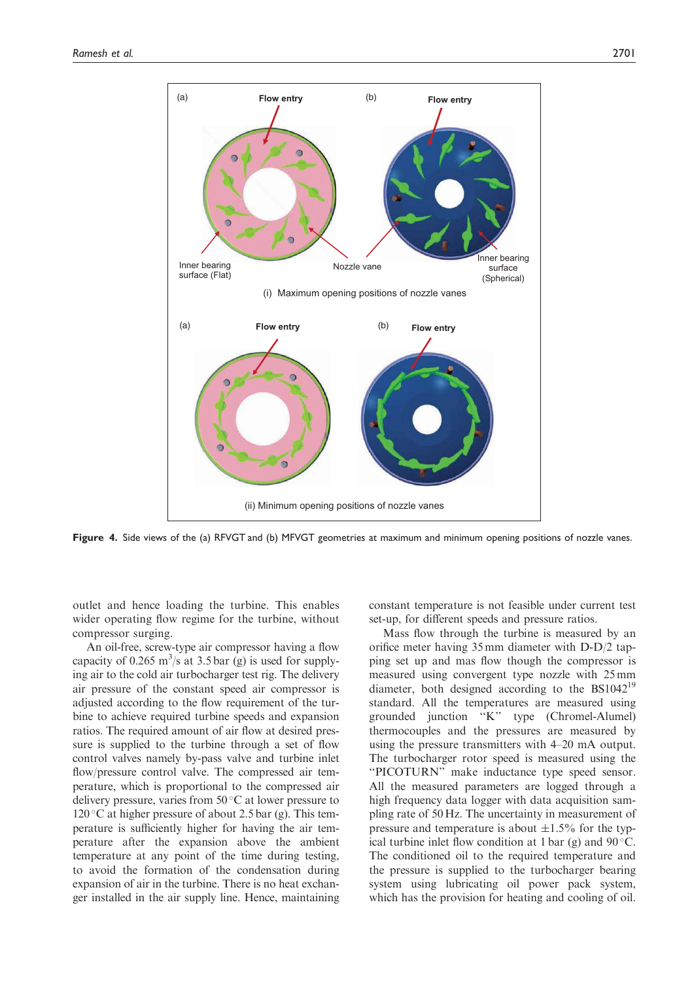

Figure 4. Side views of the (a) RFVGT and (b) MFVGT geometries at maximum and minimum opening positions of nozzle vanes.

outlet and hence loading the turbine. This enables wider operating flow regime for the turbine, without compressor surging.

An oil-free, screw-type air compressor having a flow capacity of 0.265 m<sup>3</sup>/s at 3.5 bar (g) is used for supplying air to the cold air turbocharger test rig. The delivery air pressure of the constant speed air compressor is adjusted according to the flow requirement of the turbine to achieve required turbine speeds and expansion ratios. The required amount of air flow at desired pressure is supplied to the turbine through a set of flow control valves namely by-pass valve and turbine inlet flow/pressure control valve. The compressed air temperature, which is proportional to the compressed air delivery pressure, varies from  $50^{\circ}$ C at lower pressure to  $120\textdegree$ C at higher pressure of about 2.5 bar (g). This temperature is sufficiently higher for having the air temperature after the expansion above the ambient temperature at any point of the time during testing, to avoid the formation of the condensation during expansion of air in the turbine. There is no heat exchanger installed in the air supply line. Hence, maintaining constant temperature is not feasible under current test set-up, for different speeds and pressure ratios.

Mass flow through the turbine is measured by an orifice meter having 35 mm diameter with D-D/2 tapping set up and mas flow though the compressor is measured using convergent type nozzle with 25 mm diameter, both designed according to the BS1042<sup>19</sup> standard. All the temperatures are measured using grounded junction ''K'' type (Chromel-Alumel) thermocouples and the pressures are measured by using the pressure transmitters with 4–20 mA output. The turbocharger rotor speed is measured using the ''PICOTURN'' make inductance type speed sensor. All the measured parameters are logged through a high frequency data logger with data acquisition sampling rate of 50 Hz. The uncertainty in measurement of pressure and temperature is about  $\pm 1.5\%$  for the typical turbine inlet flow condition at 1 bar (g) and  $90^{\circ}$ C. The conditioned oil to the required temperature and the pressure is supplied to the turbocharger bearing system using lubricating oil power pack system, which has the provision for heating and cooling of oil.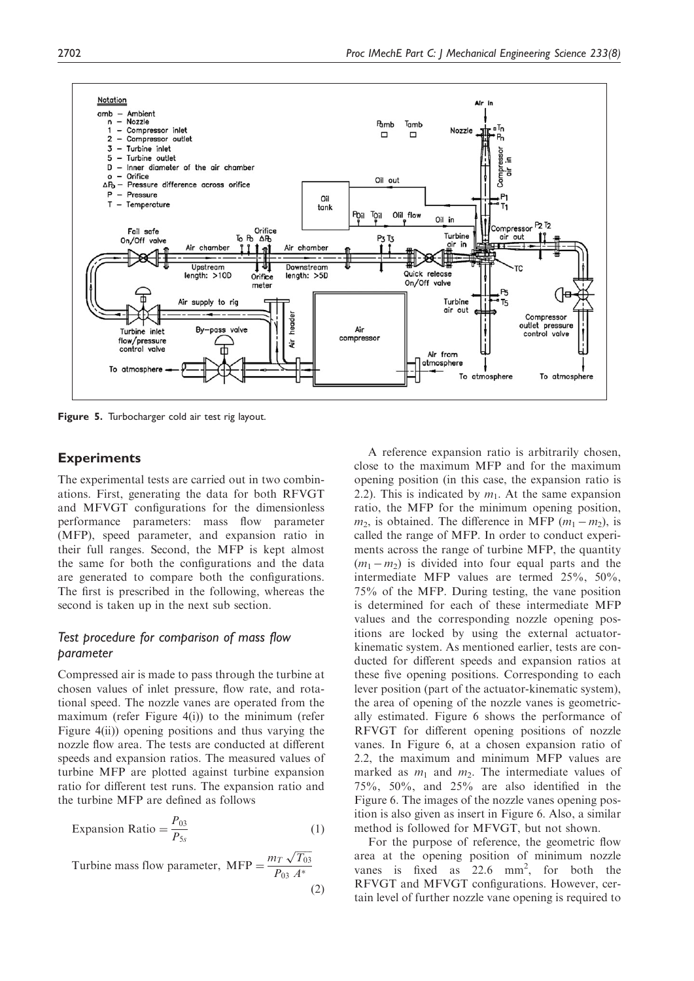

Figure 5. Turbocharger cold air test rig layout.

## **Experiments**

The experimental tests are carried out in two combinations. First, generating the data for both RFVGT and MFVGT configurations for the dimensionless performance parameters: mass flow parameter (MFP), speed parameter, and expansion ratio in their full ranges. Second, the MFP is kept almost the same for both the configurations and the data are generated to compare both the configurations. The first is prescribed in the following, whereas the second is taken up in the next sub section.

## *Test procedure for comparison of mass flow parameter*

Compressed air is made to pass through the turbine at chosen values of inlet pressure, flow rate, and rotational speed. The nozzle vanes are operated from the maximum (refer Figure 4(i)) to the minimum (refer Figure 4(ii)) opening positions and thus varying the nozzle flow area. The tests are conducted at different speeds and expansion ratios. The measured values of turbine MFP are plotted against turbine expansion ratio for different test runs. The expansion ratio and the turbine MFP are defined as follows

$$
Expansion Ratio = \frac{P_{03}}{P_{5s}} \tag{1}
$$

Turbine mass flow parameter, MFP =  $\frac{m_T \sqrt{T_{03}}}{P_{03} A^*}$ *P*<sup>03</sup> *A*  $(2)$ 

A reference expansion ratio is arbitrarily chosen, close to the maximum MFP and for the maximum opening position (in this case, the expansion ratio is 2.2). This is indicated by  $m_1$ . At the same expansion ratio, the MFP for the minimum opening position,  $m_2$ , is obtained. The difference in MFP ( $m_1 - m_2$ ), is called the range of MFP. In order to conduct experiments across the range of turbine MFP, the quantity  $(m_1 - m_2)$  is divided into four equal parts and the intermediate MFP values are termed 25%, 50%, 75% of the MFP. During testing, the vane position is determined for each of these intermediate MFP values and the corresponding nozzle opening positions are locked by using the external actuatorkinematic system. As mentioned earlier, tests are conducted for different speeds and expansion ratios at these five opening positions. Corresponding to each lever position (part of the actuator-kinematic system), the area of opening of the nozzle vanes is geometrically estimated. Figure 6 shows the performance of RFVGT for different opening positions of nozzle vanes. In Figure 6, at a chosen expansion ratio of 2.2, the maximum and minimum MFP values are marked as  $m_1$  and  $m_2$ . The intermediate values of 75%, 50%, and 25% are also identified in the Figure 6. The images of the nozzle vanes opening position is also given as insert in Figure 6. Also, a similar method is followed for MFVGT, but not shown.

For the purpose of reference, the geometric flow area at the opening position of minimum nozzle vanes is fixed as  $22.6$  mm<sup>2</sup>, for both the RFVGT and MFVGT configurations. However, certain level of further nozzle vane opening is required to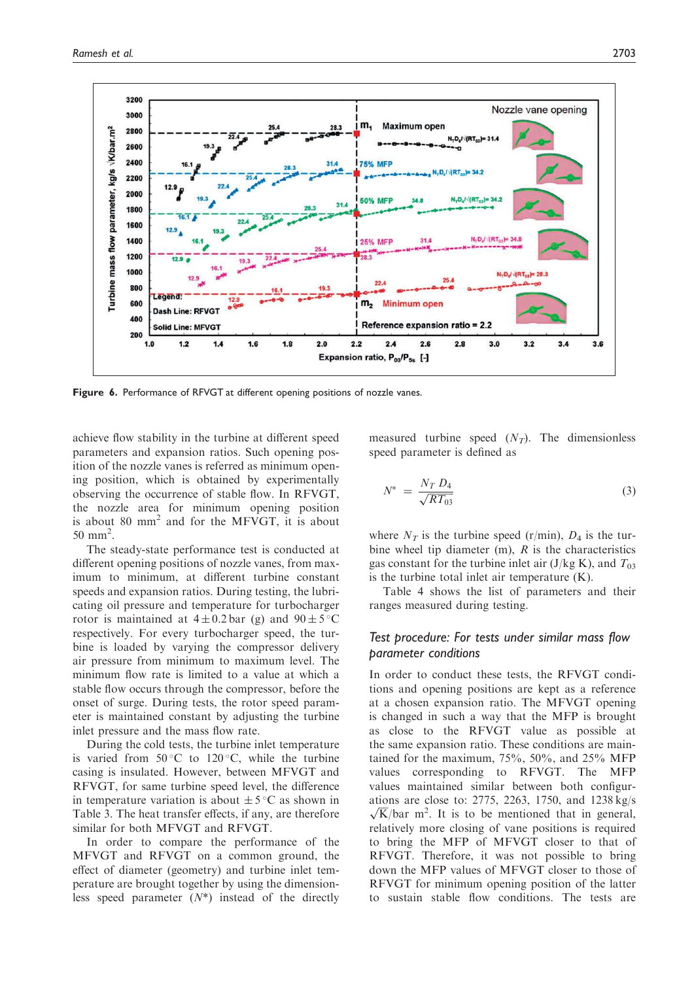

Figure 6. Performance of RFVGT at different opening positions of nozzle vanes.

achieve flow stability in the turbine at different speed parameters and expansion ratios. Such opening position of the nozzle vanes is referred as minimum opening position, which is obtained by experimentally observing the occurrence of stable flow. In RFVGT, the nozzle area for minimum opening position is about 80 mm<sup>2</sup> and for the MFVGT, it is about  $50 \text{ mm}^2$ .

The steady-state performance test is conducted at different opening positions of nozzle vanes, from maximum to minimum, at different turbine constant speeds and expansion ratios. During testing, the lubricating oil pressure and temperature for turbocharger rotor is maintained at  $4 \pm 0.2$  bar (g) and  $90 \pm 5^{\circ}$ C respectively. For every turbocharger speed, the turbine is loaded by varying the compressor delivery air pressure from minimum to maximum level. The minimum flow rate is limited to a value at which a stable flow occurs through the compressor, before the onset of surge. During tests, the rotor speed parameter is maintained constant by adjusting the turbine inlet pressure and the mass flow rate.

During the cold tests, the turbine inlet temperature is varied from  $50^{\circ}$ C to  $120^{\circ}$ C, while the turbine casing is insulated. However, between MFVGT and RFVGT, for same turbine speed level, the difference in temperature variation is about  $\pm 5^{\circ}$ C as shown in Table 3. The heat transfer effects, if any, are therefore similar for both MFVGT and RFVGT.

In order to compare the performance of the MFVGT and RFVGT on a common ground, the effect of diameter (geometry) and turbine inlet temperature are brought together by using the dimensionless speed parameter (*N*\*) instead of the directly

measured turbine speed  $(N_T)$ . The dimensionless speed parameter is defined as

$$
N^* = \frac{N_T D_4}{\sqrt{RT_{03}}} \tag{3}
$$

where  $N_T$  is the turbine speed (r/min),  $D_4$  is the turbine wheel tip diameter (m), *R* is the characteristics gas constant for the turbine inlet air  $(J/kg K)$ , and  $T_{03}$ is the turbine total inlet air temperature (K).

Table 4 shows the list of parameters and their ranges measured during testing.

## *Test procedure: For tests under similar mass flow parameter conditions*

In order to conduct these tests, the RFVGT conditions and opening positions are kept as a reference at a chosen expansion ratio. The MFVGT opening is changed in such a way that the MFP is brought as close to the RFVGT value as possible at the same expansion ratio. These conditions are maintained for the maximum, 75%, 50%, and 25% MFP values corresponding to RFVGT. The MFP values maintained similar between both configurations are close to: 2775, 2263, 1750, and 1238 kg/s  $\sqrt{K}/bar$  m<sup>2</sup>. It is to be mentioned that in general, relatively more closing of vane positions is required to bring the MFP of MFVGT closer to that of RFVGT. Therefore, it was not possible to bring down the MFP values of MFVGT closer to those of RFVGT for minimum opening position of the latter to sustain stable flow conditions. The tests are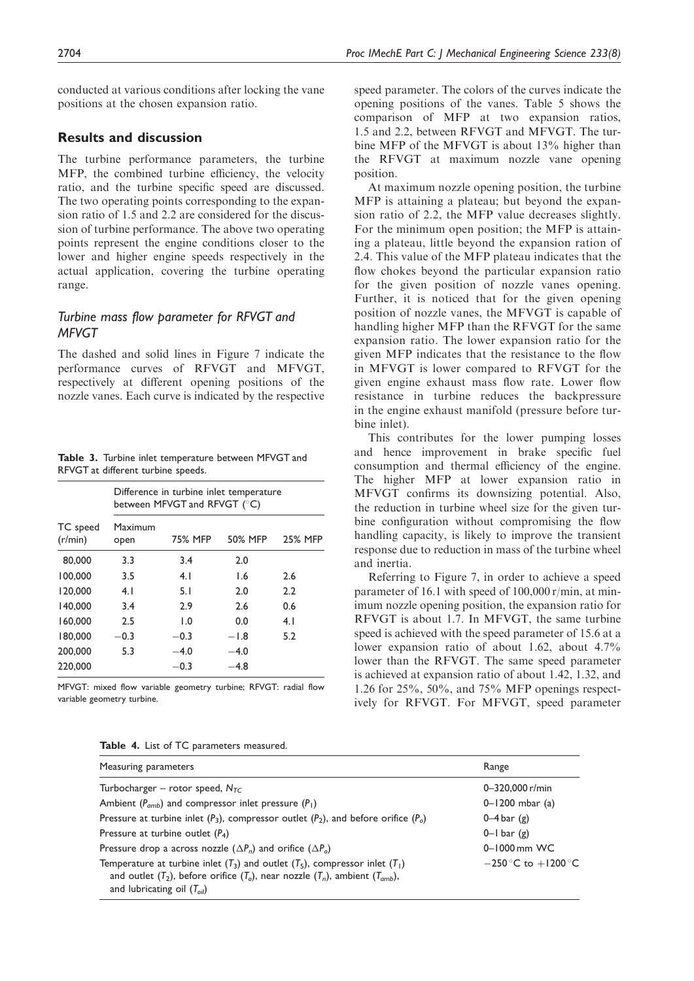conducted at various conditions after locking the vane positions at the chosen expansion ratio.

## Results and discussion

The turbine performance parameters, the turbine MFP, the combined turbine efficiency, the velocity ratio, and the turbine specific speed are discussed. The two operating points corresponding to the expansion ratio of 1.5 and 2.2 are considered for the discussion of turbine performance. The above two operating points represent the engine conditions closer to the lower and higher engine speeds respectively in the actual application, covering the turbine operating range.

## *Turbine mass flow parameter for RFVGT and MFVGT*

The dashed and solid lines in Figure 7 indicate the performance curves of RFVGT and MFVGT, respectively at different opening positions of the nozzle vanes. Each curve is indicated by the respective

Table 3. Turbine inlet temperature between MFVGT and RFVGT at different turbine speeds.

|                     | Difference in turbine inlet temperature<br>between MFVGT and RFVGT (°C) |                |         |                |  |
|---------------------|-------------------------------------------------------------------------|----------------|---------|----------------|--|
| TC speed<br>(r/min) | Maximum<br>open                                                         | <b>75% MFP</b> | 50% MFP | <b>25% MFP</b> |  |
| 80,000              | 3.3                                                                     | 3.4            | 2.0     |                |  |
| 100,000             | 3.5                                                                     | 4.1            | 1.6     | 2.6            |  |
| 120,000             | 4.1                                                                     | 5.1            | 2.0     | 2.2            |  |
| 140,000             | 3.4                                                                     | 2.9            | 2.6     | 0.6            |  |
| 160,000             | 2.5                                                                     | $\mathsf{L}0$  | 0.0     | 4.1            |  |
| 180,000             | $-0.3$                                                                  | $-0.3$         | $-1.8$  | 5.2            |  |
| 200,000             | 5.3                                                                     | $-4.0$         | $-4.0$  |                |  |
| 220,000             |                                                                         | $-0.3$         | -4.8    |                |  |

MFVGT: mixed flow variable geometry turbine; RFVGT: radial flow variable geometry turbine.

|  |  |  |  |  | Table 4. List of TC parameters measured. |  |
|--|--|--|--|--|------------------------------------------|--|
|--|--|--|--|--|------------------------------------------|--|

speed parameter. The colors of the curves indicate the opening positions of the vanes. Table 5 shows the comparison of MFP at two expansion ratios, 1.5 and 2.2, between RFVGT and MFVGT. The turbine MFP of the MFVGT is about 13% higher than the RFVGT at maximum nozzle vane opening position.

At maximum nozzle opening position, the turbine MFP is attaining a plateau; but beyond the expansion ratio of 2.2, the MFP value decreases slightly. For the minimum open position; the MFP is attaining a plateau, little beyond the expansion ration of 2.4. This value of the MFP plateau indicates that the flow chokes beyond the particular expansion ratio for the given position of nozzle vanes opening. Further, it is noticed that for the given opening position of nozzle vanes, the MFVGT is capable of handling higher MFP than the RFVGT for the same expansion ratio. The lower expansion ratio for the given MFP indicates that the resistance to the flow in MFVGT is lower compared to RFVGT for the given engine exhaust mass flow rate. Lower flow resistance in turbine reduces the backpressure in the engine exhaust manifold (pressure before turbine inlet).

This contributes for the lower pumping losses and hence improvement in brake specific fuel consumption and thermal efficiency of the engine. The higher MFP at lower expansion ratio in MFVGT confirms its downsizing potential. Also, the reduction in turbine wheel size for the given turbine configuration without compromising the flow handling capacity, is likely to improve the transient response due to reduction in mass of the turbine wheel and inertia.

Referring to Figure 7, in order to achieve a speed parameter of 16.1 with speed of 100,000 r/min, at minimum nozzle opening position, the expansion ratio for RFVGT is about 1.7. In MFVGT, the same turbine speed is achieved with the speed parameter of 15.6 at a lower expansion ratio of about 1.62, about 4.7% lower than the RFVGT. The same speed parameter is achieved at expansion ratio of about 1.42, 1.32, and 1.26 for 25%, 50%, and 75% MFP openings respectively for RFVGT. For MFVGT, speed parameter

| Measuring parameters                                                                                                                                                                                                    | Range                   |
|-------------------------------------------------------------------------------------------------------------------------------------------------------------------------------------------------------------------------|-------------------------|
| Turbocharger – rotor speed, $N_{TC}$                                                                                                                                                                                    | $0 - 320,000$ r/min     |
| Ambient ( $P_{amb}$ ) and compressor inlet pressure ( $P_1$ )                                                                                                                                                           | $0 - 1200$ mbar (a)     |
| Pressure at turbine inlet $(P_3)$ , compressor outlet $(P_2)$ , and before orifice $(P_0)$                                                                                                                              | $0-4$ bar $(g)$         |
| Pressure at turbine outlet $(P_4)$                                                                                                                                                                                      | $0$ –l bar (g)          |
| Pressure drop a across nozzle $(\Delta P_n)$ and orifice $(\Delta P_n)$                                                                                                                                                 | $0 - 1000$ mm WC        |
| Temperature at turbine inlet ( $T_3$ ) and outlet ( $T_5$ ), compressor inlet ( $T_1$ )<br>and outlet $(T_2)$ , before orifice $(T_0)$ , near nozzle $(T_n)$ , ambient $(T_{amb})$ ,<br>and lubricating oil $(T_{oil})$ | $-250$ °C to $+1200$ °C |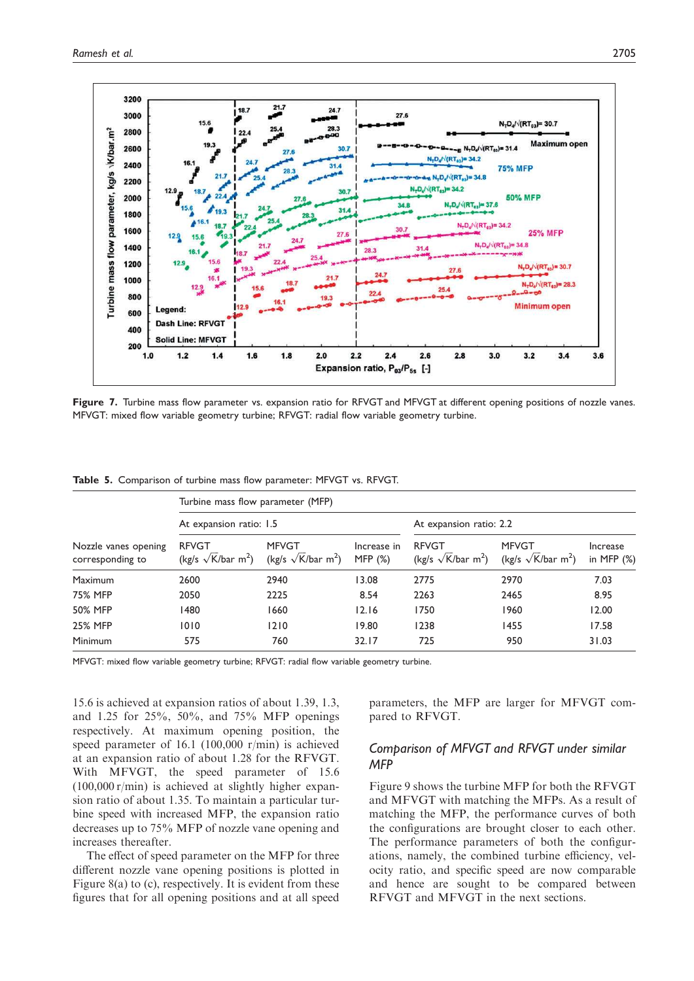

Figure 7. Turbine mass flow parameter vs. expansion ratio for RFVGT and MFVGT at different opening positions of nozzle vanes. MFVGT: mixed flow variable geometry turbine; RFVGT: radial flow variable geometry turbine.

| Nozzle vanes opening<br>corresponding to | Turbine mass flow parameter (MFP)                     |                                                       |                          |                                                        |                                                       |                           |  |  |
|------------------------------------------|-------------------------------------------------------|-------------------------------------------------------|--------------------------|--------------------------------------------------------|-------------------------------------------------------|---------------------------|--|--|
|                                          | At expansion ratio: 1.5                               |                                                       |                          | At expansion ratio: 2.2                                |                                                       |                           |  |  |
|                                          | <b>RFVGT</b><br>(kg/s $\sqrt{K}/bar$ m <sup>2</sup> ) | <b>MFVGT</b><br>(kg/s $\sqrt{K}/bar$ m <sup>2</sup> ) | Increase in<br>MFP $(%)$ | <b>RFVGT</b><br>(kg/s $\sqrt{k}$ /bar m <sup>2</sup> ) | <b>MFVGT</b><br>(kg/s $\sqrt{K}/bar$ m <sup>2</sup> ) | Increase<br>in MFP $(\%)$ |  |  |
| <b>Maximum</b>                           | 2600                                                  | 2940                                                  | 13.08                    | 2775                                                   | 2970                                                  | 7.03                      |  |  |
| 75% MFP                                  | 2050                                                  | 2225                                                  | 8.54                     | 2263                                                   | 2465                                                  | 8.95                      |  |  |
| 50% MFP                                  | 1480                                                  | 1660                                                  | 12.16                    | 1750                                                   | 1960                                                  | 12.00                     |  |  |
| <b>25% MFP</b>                           | 1010                                                  | 1210                                                  | 19.80                    | 1238                                                   | 1455                                                  | 17.58                     |  |  |
| <b>Minimum</b>                           | 575                                                   | 760                                                   | 32.17                    | 725                                                    | 950                                                   | 31.03                     |  |  |

Table 5. Comparison of turbine mass flow parameter: MFVGT vs. RFVGT.

MFVGT: mixed flow variable geometry turbine; RFVGT: radial flow variable geometry turbine.

15.6 is achieved at expansion ratios of about 1.39, 1.3, and 1.25 for 25%, 50%, and 75% MFP openings respectively. At maximum opening position, the speed parameter of 16.1 (100,000 r/min) is achieved at an expansion ratio of about 1.28 for the RFVGT. With MFVGT, the speed parameter of 15.6 (100,000 r/min) is achieved at slightly higher expansion ratio of about 1.35. To maintain a particular turbine speed with increased MFP, the expansion ratio decreases up to 75% MFP of nozzle vane opening and increases thereafter.

The effect of speed parameter on the MFP for three different nozzle vane opening positions is plotted in Figure 8(a) to (c), respectively. It is evident from these figures that for all opening positions and at all speed parameters, the MFP are larger for MFVGT compared to RFVGT.

## *Comparison of MFVGT and RFVGT under similar MFP*

Figure 9 shows the turbine MFP for both the RFVGT and MFVGT with matching the MFPs. As a result of matching the MFP, the performance curves of both the configurations are brought closer to each other. The performance parameters of both the configurations, namely, the combined turbine efficiency, velocity ratio, and specific speed are now comparable and hence are sought to be compared between RFVGT and MFVGT in the next sections.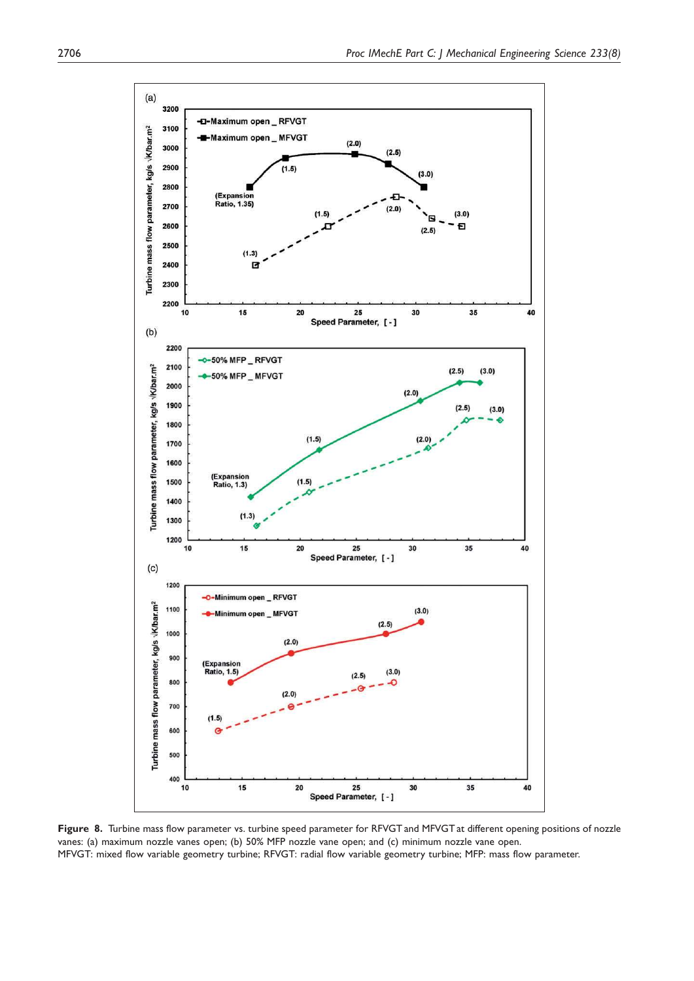

Figure 8. Turbine mass flow parameter vs. turbine speed parameter for RFVGT and MFVGT at different opening positions of nozzle vanes: (a) maximum nozzle vanes open; (b) 50% MFP nozzle vane open; and (c) minimum nozzle vane open. MFVGT: mixed flow variable geometry turbine; RFVGT: radial flow variable geometry turbine; MFP: mass flow parameter.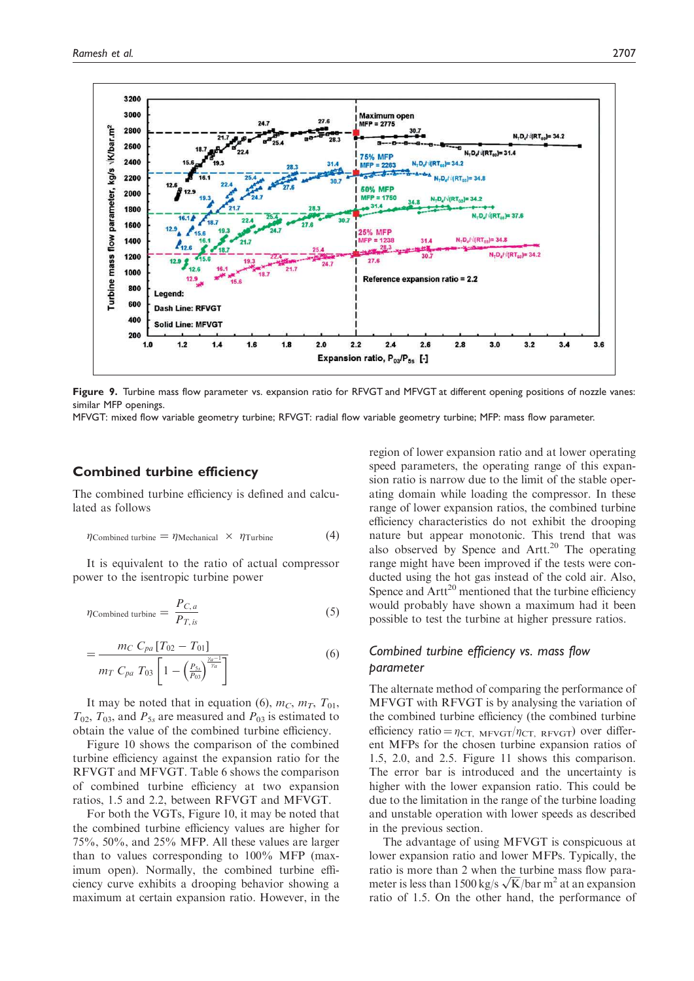

Figure 9. Turbine mass flow parameter vs. expansion ratio for RFVGT and MFVGT at different opening positions of nozzle vanes: similar MFP openings.

MFVGT: mixed flow variable geometry turbine; RFVGT: radial flow variable geometry turbine; MFP: mass flow parameter.

## Combined turbine efficiency

The combined turbine efficiency is defined and calculated as follows

$$
\eta_{\text{Combined turbine}} = \eta_{\text{Mechanical}} \times \eta_{\text{Turbine}} \tag{4}
$$

It is equivalent to the ratio of actual compressor power to the isentropic turbine power

$$
\eta_{\text{Combined turbine}} = \frac{P_{C,a}}{P_{T, is}} \tag{5}
$$

$$
=\frac{m_C C_{pa} [T_{02} - T_{01}]}{m_T C_{pa} T_{03} \left[1 - \left(\frac{P_{5x}}{P_{03}}\right)^{\frac{\gamma a - 1}{\gamma a}}\right]}
$$
(6)

It may be noted that in equation (6),  $m_C$ ,  $m_T$ ,  $T_{01}$ ,  $T_{02}$ ,  $T_{03}$ , and  $P_{5s}$  are measured and  $P_{03}$  is estimated to obtain the value of the combined turbine efficiency.

Figure 10 shows the comparison of the combined turbine efficiency against the expansion ratio for the RFVGT and MFVGT. Table 6 shows the comparison of combined turbine efficiency at two expansion ratios, 1.5 and 2.2, between RFVGT and MFVGT.

For both the VGTs, Figure 10, it may be noted that the combined turbine efficiency values are higher for 75%, 50%, and 25% MFP. All these values are larger than to values corresponding to 100% MFP (maximum open). Normally, the combined turbine efficiency curve exhibits a drooping behavior showing a maximum at certain expansion ratio. However, in the

region of lower expansion ratio and at lower operating speed parameters, the operating range of this expansion ratio is narrow due to the limit of the stable operating domain while loading the compressor. In these range of lower expansion ratios, the combined turbine efficiency characteristics do not exhibit the drooping nature but appear monotonic. This trend that was also observed by Spence and Artt.<sup>20</sup> The operating range might have been improved if the tests were conducted using the hot gas instead of the cold air. Also, Spence and  $Art^{20}$  mentioned that the turbine efficiency would probably have shown a maximum had it been possible to test the turbine at higher pressure ratios.

## *Combined turbine efficiency vs. mass flow parameter*

The alternate method of comparing the performance of MFVGT with RFVGT is by analysing the variation of the combined turbine efficiency (the combined turbine efficiency ratio =  $\eta_{\text{CT}}$ ,  $M$ FVGT/ $\eta_{\text{CT}}$ , RFVGT) over different MFPs for the chosen turbine expansion ratios of 1.5, 2.0, and 2.5. Figure 11 shows this comparison. The error bar is introduced and the uncertainty is higher with the lower expansion ratio. This could be due to the limitation in the range of the turbine loading and unstable operation with lower speeds as described in the previous section.

The advantage of using MFVGT is conspicuous at lower expansion ratio and lower MFPs. Typically, the ratio is more than 2 when the turbine mass flow parameter is less than 1500 kg/s  $\sqrt{K}/bar$  m<sup>2</sup> at an expansion ratio of 1.5. On the other hand, the performance of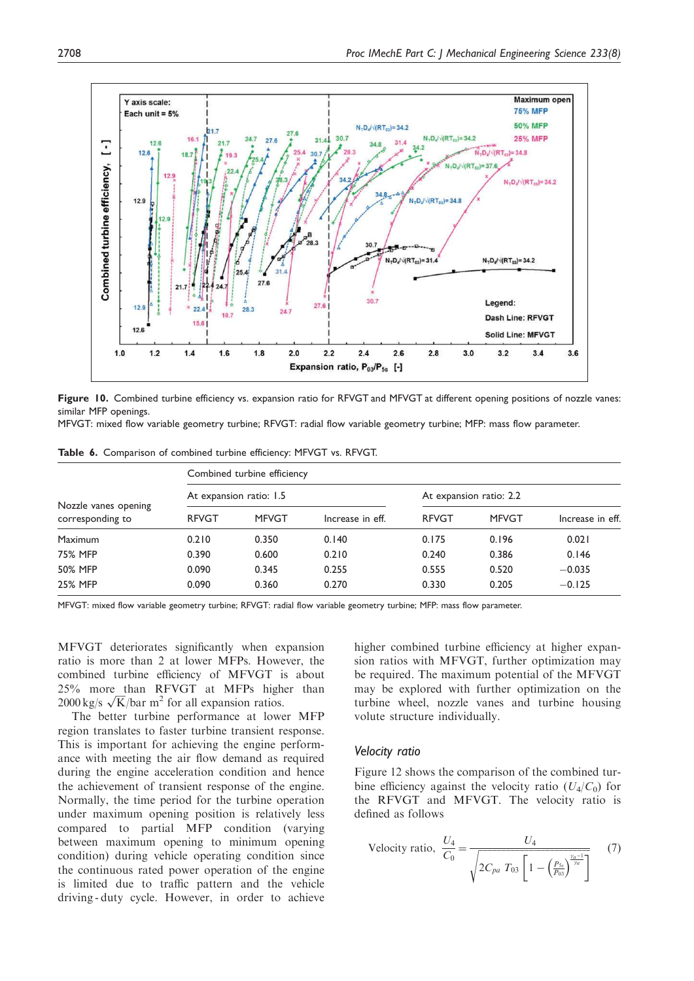

Figure 10. Combined turbine efficiency vs. expansion ratio for RFVGT and MFVGT at different opening positions of nozzle vanes: similar MFP openings.

MFVGT: mixed flow variable geometry turbine; RFVGT: radial flow variable geometry turbine; MFP: mass flow parameter.

Table 6. Comparison of combined turbine efficiency: MFVGT vs. RFVGT.

| Nozzle vanes opening<br>corresponding to | Combined turbine efficiency |              |                  |                         |              |                  |  |
|------------------------------------------|-----------------------------|--------------|------------------|-------------------------|--------------|------------------|--|
|                                          | At expansion ratio: 1.5     |              |                  | At expansion ratio: 2.2 |              |                  |  |
|                                          | <b>RFVGT</b>                | <b>MFVGT</b> | Increase in eff. | <b>RFVGT</b>            | <b>MFVGT</b> | Increase in eff. |  |
| <b>Maximum</b>                           | 0.210                       | 0.350        | 0.140            | 0.175                   | 0.196        | 0.021            |  |
| <b>75% MFP</b>                           | 0.390                       | 0.600        | 0.210            | 0.240                   | 0.386        | 0.146            |  |
| <b>50% MFP</b>                           | 0.090                       | 0.345        | 0.255            | 0.555                   | 0.520        | $-0.035$         |  |
| <b>25% MFP</b>                           | 0.090                       | 0.360        | 0.270            | 0.330                   | 0.205        | $-0.125$         |  |

MFVGT: mixed flow variable geometry turbine; RFVGT: radial flow variable geometry turbine; MFP: mass flow parameter.

MFVGT deteriorates significantly when expansion ratio is more than 2 at lower MFPs. However, the combined turbine efficiency of MFVGT is about 25% more than RFVGT at MFPs higher than  $2000 \text{ kg/s } \sqrt{\text{K}}/\text{bar m}^2$  for all expansion ratios.

The better turbine performance at lower MFP region translates to faster turbine transient response. This is important for achieving the engine performance with meeting the air flow demand as required during the engine acceleration condition and hence the achievement of transient response of the engine. Normally, the time period for the turbine operation under maximum opening position is relatively less compared to partial MFP condition (varying between maximum opening to minimum opening condition) during vehicle operating condition since the continuous rated power operation of the engine is limited due to traffic pattern and the vehicle driving - duty cycle. However, in order to achieve higher combined turbine efficiency at higher expansion ratios with MFVGT, further optimization may be required. The maximum potential of the MFVGT may be explored with further optimization on the turbine wheel, nozzle vanes and turbine housing volute structure individually.

#### *Velocity ratio*

Figure 12 shows the comparison of the combined turbine efficiency against the velocity ratio  $(U_4/C_0)$  for the RFVGT and MFVGT. The velocity ratio is defined as follows

Velocity ratio, 
$$
\frac{U_4}{C_0} = \frac{U_4}{\sqrt{2C_{pa} T_{03} \left[1 - \left(\frac{P_{ss}}{P_{03}}\right)^{\frac{\gamma_a - 1}{\gamma_a}}\right]}}
$$
(7)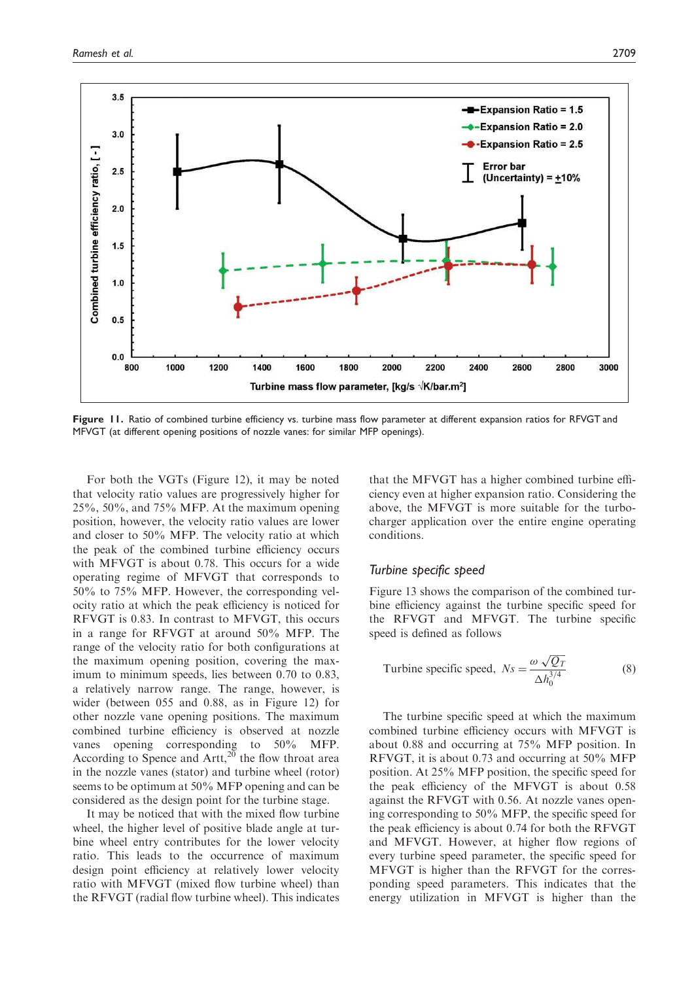

Figure 11. Ratio of combined turbine efficiency vs. turbine mass flow parameter at different expansion ratios for RFVGT and MFVGT (at different opening positions of nozzle vanes: for similar MFP openings).

For both the VGTs (Figure 12), it may be noted that velocity ratio values are progressively higher for 25%, 50%, and 75% MFP. At the maximum opening position, however, the velocity ratio values are lower and closer to 50% MFP. The velocity ratio at which the peak of the combined turbine efficiency occurs with MFVGT is about 0.78. This occurs for a wide operating regime of MFVGT that corresponds to 50% to 75% MFP. However, the corresponding velocity ratio at which the peak efficiency is noticed for RFVGT is 0.83. In contrast to MFVGT, this occurs in a range for RFVGT at around 50% MFP. The range of the velocity ratio for both configurations at the maximum opening position, covering the maximum to minimum speeds, lies between 0.70 to 0.83, a relatively narrow range. The range, however, is wider (between 055 and 0.88, as in Figure 12) for other nozzle vane opening positions. The maximum combined turbine efficiency is observed at nozzle vanes opening corresponding to 50% MFP. According to Spence and  $Artt, <sup>20</sup>$  the flow throat area in the nozzle vanes (stator) and turbine wheel (rotor) seems to be optimum at 50% MFP opening and can be considered as the design point for the turbine stage.

It may be noticed that with the mixed flow turbine wheel, the higher level of positive blade angle at turbine wheel entry contributes for the lower velocity ratio. This leads to the occurrence of maximum design point efficiency at relatively lower velocity ratio with MFVGT (mixed flow turbine wheel) than the RFVGT (radial flow turbine wheel). This indicates

that the MFVGT has a higher combined turbine efficiency even at higher expansion ratio. Considering the above, the MFVGT is more suitable for the turbocharger application over the entire engine operating conditions.

#### *Turbine specific speed*

Figure 13 shows the comparison of the combined turbine efficiency against the turbine specific speed for the RFVGT and MFVGT. The turbine specific speed is defined as follows

Turbine specific speed, 
$$
N_s = \frac{\omega \sqrt{Q_T}}{\Delta h_0^{3/4}}
$$
 (8)

The turbine specific speed at which the maximum combined turbine efficiency occurs with MFVGT is about 0.88 and occurring at 75% MFP position. In RFVGT, it is about 0.73 and occurring at 50% MFP position. At 25% MFP position, the specific speed for the peak efficiency of the MFVGT is about 0.58 against the RFVGT with 0.56. At nozzle vanes opening corresponding to 50% MFP, the specific speed for the peak efficiency is about 0.74 for both the RFVGT and MFVGT. However, at higher flow regions of every turbine speed parameter, the specific speed for MFVGT is higher than the RFVGT for the corresponding speed parameters. This indicates that the energy utilization in MFVGT is higher than the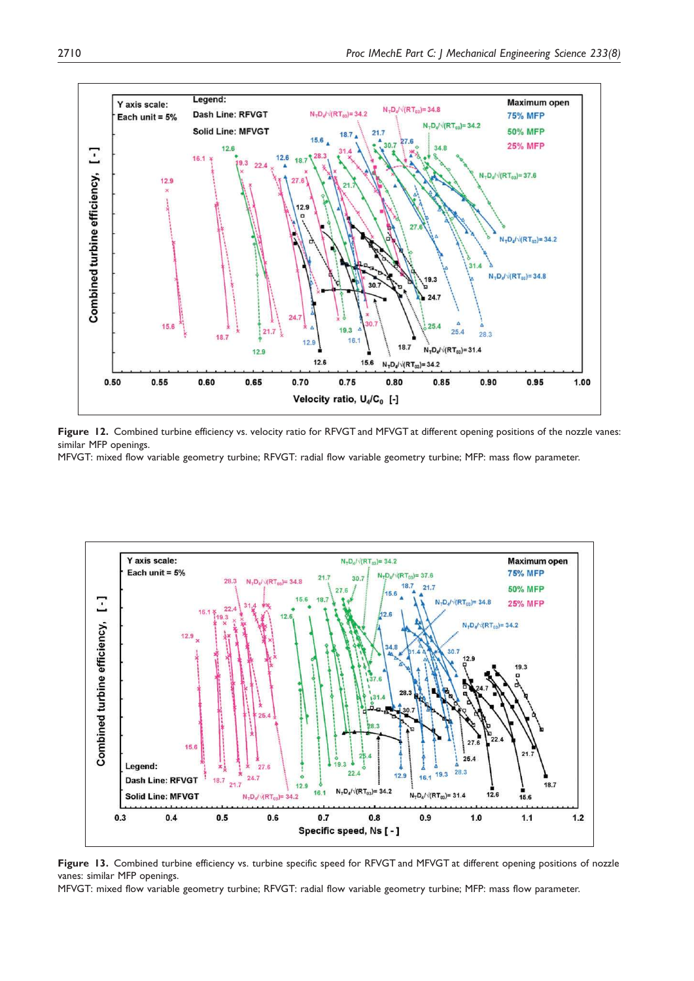

Figure 12. Combined turbine efficiency vs. velocity ratio for RFVGT and MFVGT at different opening positions of the nozzle vanes: similar MFP openings.

MFVGT: mixed flow variable geometry turbine; RFVGT: radial flow variable geometry turbine; MFP: mass flow parameter.



Figure 13. Combined turbine efficiency vs. turbine specific speed for RFVGT and MFVGT at different opening positions of nozzle vanes: similar MFP openings.

MFVGT: mixed flow variable geometry turbine; RFVGT: radial flow variable geometry turbine; MFP: mass flow parameter.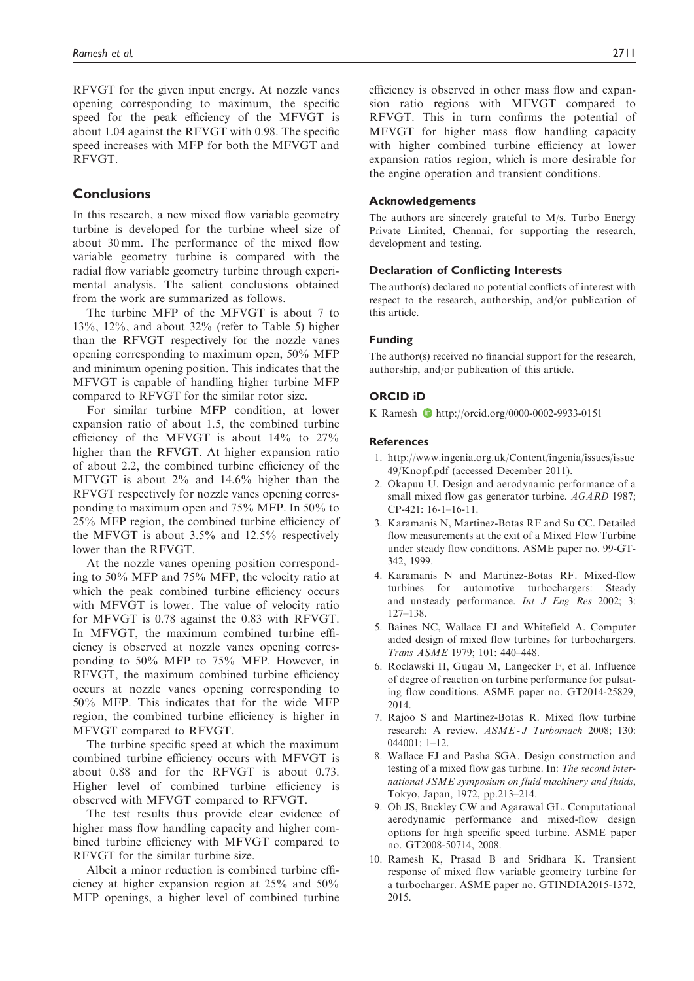RFVGT for the given input energy. At nozzle vanes opening corresponding to maximum, the specific speed for the peak efficiency of the MFVGT is about 1.04 against the RFVGT with 0.98. The specific speed increases with MFP for both the MFVGT and RFVGT.

## **Conclusions**

In this research, a new mixed flow variable geometry turbine is developed for the turbine wheel size of about 30 mm. The performance of the mixed flow variable geometry turbine is compared with the radial flow variable geometry turbine through experimental analysis. The salient conclusions obtained from the work are summarized as follows.

The turbine MFP of the MFVGT is about 7 to 13%, 12%, and about 32% (refer to Table 5) higher than the RFVGT respectively for the nozzle vanes opening corresponding to maximum open, 50% MFP and minimum opening position. This indicates that the MFVGT is capable of handling higher turbine MFP compared to RFVGT for the similar rotor size.

For similar turbine MFP condition, at lower expansion ratio of about 1.5, the combined turbine efficiency of the MFVGT is about 14% to 27% higher than the RFVGT. At higher expansion ratio of about 2.2, the combined turbine efficiency of the MFVGT is about 2% and 14.6% higher than the RFVGT respectively for nozzle vanes opening corresponding to maximum open and 75% MFP. In 50% to 25% MFP region, the combined turbine efficiency of the MFVGT is about 3.5% and 12.5% respectively lower than the RFVGT.

At the nozzle vanes opening position corresponding to 50% MFP and 75% MFP, the velocity ratio at which the peak combined turbine efficiency occurs with MFVGT is lower. The value of velocity ratio for MFVGT is 0.78 against the 0.83 with RFVGT. In MFVGT, the maximum combined turbine efficiency is observed at nozzle vanes opening corresponding to 50% MFP to 75% MFP. However, in RFVGT, the maximum combined turbine efficiency occurs at nozzle vanes opening corresponding to 50% MFP. This indicates that for the wide MFP region, the combined turbine efficiency is higher in MFVGT compared to RFVGT.

The turbine specific speed at which the maximum combined turbine efficiency occurs with MFVGT is about 0.88 and for the RFVGT is about 0.73. Higher level of combined turbine efficiency is observed with MFVGT compared to RFVGT.

The test results thus provide clear evidence of higher mass flow handling capacity and higher combined turbine efficiency with MFVGT compared to RFVGT for the similar turbine size.

Albeit a minor reduction is combined turbine efficiency at higher expansion region at 25% and 50% MFP openings, a higher level of combined turbine efficiency is observed in other mass flow and expansion ratio regions with MFVGT compared to RFVGT. This in turn confirms the potential of MFVGT for higher mass flow handling capacity with higher combined turbine efficiency at lower expansion ratios region, which is more desirable for the engine operation and transient conditions.

#### Acknowledgements

The authors are sincerely grateful to M/s. Turbo Energy Private Limited, Chennai, for supporting the research, development and testing.

#### Declaration of Conflicting Interests

The author(s) declared no potential conflicts of interest with respect to the research, authorship, and/or publication of this article.

#### Funding

The author(s) received no financial support for the research, authorship, and/or publication of this article.

#### ORCID iD

K Ramesh D http://orcid.org/0000-0002-9933-0151

#### **References**

- 1. http://www.ingenia.org.uk/Content/ingenia/issues/issue 49/Knopf.pdf (accessed December 2011).
- 2. Okapuu U. Design and aerodynamic performance of a small mixed flow gas generator turbine. *AGARD* 1987; CP-421: 16-1–16-11.
- 3. Karamanis N, Martinez-Botas RF and Su CC. Detailed flow measurements at the exit of a Mixed Flow Turbine under steady flow conditions. ASME paper no. 99-GT-342, 1999.
- 4. Karamanis N and Martinez-Botas RF. Mixed-flow turbines for automotive turbochargers: Steady and unsteady performance. *Int J Eng Res* 2002; 3: 127–138.
- 5. Baines NC, Wallace FJ and Whitefield A. Computer aided design of mixed flow turbines for turbochargers. *Trans ASME* 1979; 101: 440–448.
- 6. Roclawski H, Gugau M, Langecker F, et al. Influence of degree of reaction on turbine performance for pulsating flow conditions. ASME paper no. GT2014-25829, 2014.
- 7. Rajoo S and Martinez-Botas R. Mixed flow turbine research: A review. *ASME - J Turbomach* 2008; 130:  $044001 \cdot 1 - 12$
- 8. Wallace FJ and Pasha SGA. Design construction and testing of a mixed flow gas turbine. In: *The second international JSME symposium on fluid machinery and fluids*, Tokyo, Japan, 1972, pp.213–214.
- 9. Oh JS, Buckley CW and Agarawal GL. Computational aerodynamic performance and mixed-flow design options for high specific speed turbine. ASME paper no. GT2008-50714, 2008.
- 10. Ramesh K, Prasad B and Sridhara K. Transient response of mixed flow variable geometry turbine for a turbocharger. ASME paper no. GTINDIA2015-1372, 2015.